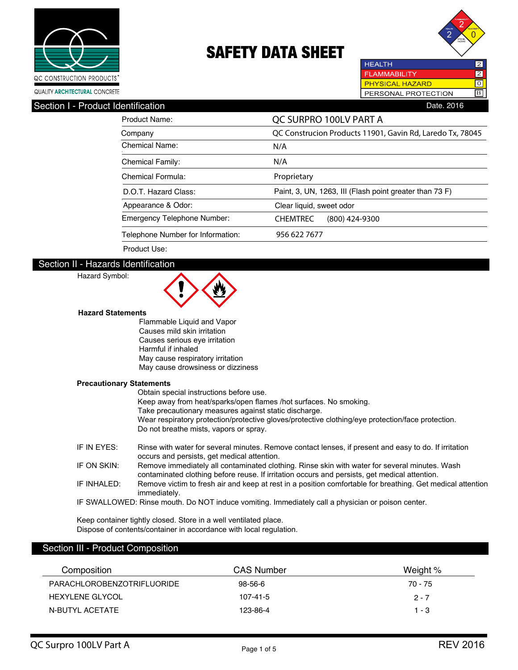



**HEALTH** 2 **FLAMMABILITY** 2 **PHYSICAL HAZARD** ल PERSONAL PROTECTION B

| ----------                         |                                                           |
|------------------------------------|-----------------------------------------------------------|
| Product Name:                      | QC SURPRO 100LV PART A                                    |
| Company                            | QC Construcion Products 11901, Gavin Rd, Laredo Tx, 78045 |
| <b>Chemical Name:</b>              | N/A                                                       |
| <b>Chemical Family:</b>            | N/A                                                       |
| <b>Chemical Formula:</b>           | Proprietary                                               |
| D.O.T. Hazard Class:               | Paint, 3, UN, 1263, III (Flash point greater than 73 F)   |
| Appearance & Odor:                 | Clear liquid, sweet odor                                  |
| <b>Emergency Telephone Number:</b> | <b>CHEMTREC</b><br>$(800)$ 424-9300                       |
| Telephone Number for Information:  | 956 622 7677                                              |
| Product Use:                       |                                                           |

#### Section II - Hazards Identification

### Hazard Symbol:



#### **Hazard Statements**

Flammable Liquid and Vapor Causes mild skin irritation Causes serious eye irritation Harmful if inhaled May cause respiratory irritation May cause drowsiness or dizziness

#### **Precautionary Statements**

| , rocautionary otatomonts |                                                                                                                                                                                                |
|---------------------------|------------------------------------------------------------------------------------------------------------------------------------------------------------------------------------------------|
|                           | Obtain special instructions before use.                                                                                                                                                        |
|                           | Keep away from heat/sparks/open flames /hot surfaces. No smoking.                                                                                                                              |
|                           | Take precautionary measures against static discharge.                                                                                                                                          |
|                           | Wear respiratory protection/protective gloves/protective clothing/eye protection/face protection.                                                                                              |
|                           | Do not breathe mists, vapors or spray.                                                                                                                                                         |
| IF IN EYES:               | Rinse with water for several minutes. Remove contact lenses, if present and easy to do. If irritation<br>occurs and persists, get medical attention.                                           |
| IF ON SKIN:               | Remove immediately all contaminated clothing. Rinse skin with water for several minutes. Wash<br>contaminated clothing before reuse. If irritation occurs and persists, get medical attention. |
| IF INHALED:               | Remove victim to fresh air and keep at rest in a position comfortable for breathing. Get medical attention<br>immediately.                                                                     |
|                           | IF SWALLOWED: Rinse mouth. Do NOT induce vomiting. Immediately call a physician or poison center.                                                                                              |

Keep container tightly closed. Store in a well ventilated place. Dispose of contents/container in accordance with local regulation.

### Section III - Product Composition

| Composition                | <b>CAS Number</b> | Weight % |
|----------------------------|-------------------|----------|
| PARACHLOROBENZOTRIFLUORIDE | 98-56-6           | 70 - 75  |
| <b>HEXYLENE GLYCOL</b>     | 107-41-5          | $2 - 7$  |
| N-BUTYL ACETATE            | 123-86-4          | $1 - 3$  |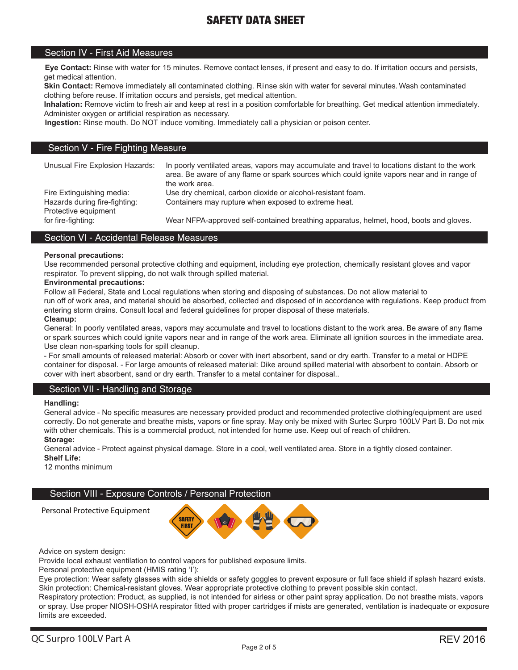#### Section IV - First Aid Measures

**Eye Contact:** Rinse with water for 15 minutes. Remove contact lenses, if present and easy to do. If irritation occurs and persists, get medical attention.

 clothing before reuse. If irritation occurs and persists, get medical attention. **Skin Contact:** Remove immediately all contaminated clothing. Rinse skin with water for several minutes. Wash contaminated

**Inhalation:** Remove victim to fresh air and keep at rest in a position comfortable for breathing. Get medical attention immediately. Administer oxygen or artificial respiration as necessary.

**Ingestion:** Rinse mouth. Do NOT induce vomiting. Immediately call a physician or poison center.

#### Section V - Fire Fighting Measure

| Unusual Fire Explosion Hazards: | In poorly ventilated areas, vapors may accumulate and travel to locations distant to the work<br>area. Be aware of any flame or spark sources which could ignite vapors near and in range of<br>the work area. |
|---------------------------------|----------------------------------------------------------------------------------------------------------------------------------------------------------------------------------------------------------------|
| Fire Extinguishing media:       | Use dry chemical, carbon dioxide or alcohol-resistant foam.                                                                                                                                                    |
| Hazards during fire-fighting:   | Containers may rupture when exposed to extreme heat.                                                                                                                                                           |
| Protective equipment            |                                                                                                                                                                                                                |
| for fire-fighting:              | Wear NFPA-approved self-contained breathing apparatus, helmet, hood, boots and gloves.                                                                                                                         |

#### Section VI - Accidental Release Measures

#### **Personal precautions:**

Use recommended personal protective clothing and equipment, including eye protection, chemically resistant gloves and vapor respirator. To prevent slipping, do not walk through spilled material.

#### **Environmental precautions:**

Follow all Federal, State and Local regulations when storing and disposing of substances. Do not allow material to run off of work area, and material should be absorbed, collected and disposed of in accordance with regulations. Keep product from entering storm drains. Consult local and federal guidelines for proper disposal of these materials.

#### **Cleanup:**

General: In poorly ventilated areas, vapors may accumulate and travel to locations distant to the work area. Be aware of any flame or spark sources which could ignite vapors near and in range of the work area. Eliminate all ignition sources in the immediate area. Use clean non-sparking tools for spill cleanup.

- For small amounts of released material: Absorb or cover with inert absorbent, sand or dry earth. Transfer to a metal or HDPE container for disposal. - For large amounts of released material: Dike around spilled material with absorbent to contain. Absorb or cover with inert absorbent, sand or dry earth. Transfer to a metal container for disposal..

#### Section VII - Handling and Storage

#### **Handling:**

General advice - No specific measures are necessary provided product and recommended protective clothing/equipment are used correctly. Do not generate and breathe mists, vapors or fine spray. May only be mixed with Surtec Surpro 100LV Part B. Do not mix with other chemicals. This is a commercial product, not intended for home use. Keep out of reach of children.

**Storage:**

General advice - Protect against physical damage. Store in a cool, well ventilated area. Store in a tightly closed container.

**Shelf Life:**

12 months minimum

#### Section VIII - Exposure Controls / Personal Protection

**SAFETY FIRST** 

Advice on system design:

Personal Protective Equipment

Provide local exhaust ventilation to control vapors for published exposure limits.

Personal protective equipment (HMIS rating 'I'):

Eye protection: Wear safety glasses with side shields or safety goggles to prevent exposure or full face shield if splash hazard exists. Skin protection: Chemical-resistant gloves. Wear appropriate protective clothing to prevent possible skin contact.

Respiratory protection: Product, as supplied, is not intended for airless or other paint spray application. Do not breathe mists, vapors or spray. Use proper NIOSH-OSHA respirator fitted with proper cartridges if mists are generated, ventilation is inadequate or exposure limits are exceeded.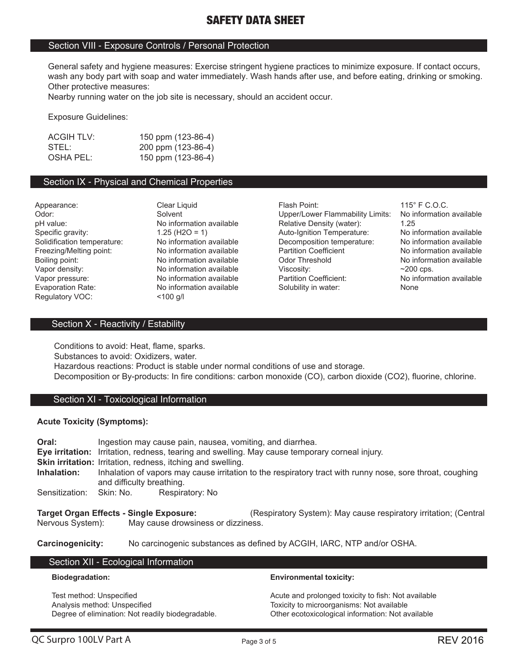#### Section VIII - Exposure Controls / Personal Protection

General safety and hygiene measures: Exercise stringent hygiene practices to minimize exposure. If contact occurs, wash any body part with soap and water immediately. Wash hands after use, and before eating, drinking or smoking. Other protective measures:

Nearby running water on the job site is necessary, should an accident occur.

Exposure Guidelines:

| <b>ACGIH TLV:</b> | 150 ppm (123-86-4) |
|-------------------|--------------------|
| STEL:             | 200 ppm (123-86-4) |
| OSHA PEL:         | 150 ppm (123-86-4) |

#### Section IX - Physical and Chemical Properties

Vapor pressure: No information available Regulatory VOC: <100 g/l

Appearance: Clear Liquid Flash Point: 115° F C.O.C. Odor: Solvent Solvent Upper/Lower Flammability Limits: No information available<br>
Detailive Density (water): 1.25<br>
25<br>
25 pH value: 
No information available 
Relative Density (water): 1.25 (120 = 1)<br>
Specific gravity: 1.25 (H2O = 1) Auto-Ignition Temperature: No information available Specific gravity: 1.25 (H2O = 1) Auto-Ignition Temperature: No information available Solidification temperature: No information available <br>
Perficient Preezing/Melting point: No information available Partition Coefficient No information available Freezing/Melting point: No information available Partition Coefficient No information available<br>Boiling point: No information available Color Threshold No information available Boiling point: No information available Odor Threshold No information Available Vapor density:  $\sim$  200 cps. No information available Viscosity:  $\sim$  200 cps.<br>
No information available Partition Coefficient: No information available Evaporation Rate: No information available Solubility in water: None

#### Section X - Reactivity / Estability

Conditions to avoid: Heat, flame, sparks. Substances to avoid: Oxidizers, water. Hazardous reactions: Product is stable under normal conditions of use and storage. Decomposition or By-products: In fire conditions: carbon monoxide (CO), carbon dioxide (CO2), fluorine, chlorine.

#### Section XI - Toxicological Information

#### **Acute Toxicity (Symptoms):**

**Oral:** Ingestion may cause pain, nausea, vomiting, and diarrhea. **Eye irritation:** Irritation, redness, tearing and swelling. May cause temporary corneal injury. **Skin irritation:** Irritation, redness, itching and swelling. **Inhalation:** Inhalation of vapors may cause irritation to the respiratory tract with runny nose, sore throat, coughing and difficulty breathing. Sensitization: Skin: No. Respiratory: No **Target Organ Effects - Single Exposure:** (Respiratory System): May cause respiratory irritation; (Central Nervous System): May cause drowsiness or dizziness.

**Carcinogenicity:** No carcinogenic substances as defined by ACGIH, IARC, NTP and/or OSHA.

#### Section XII - Ecological Information

#### **Biodegradation:**

Test method: Unspecified Analysis method: Unspecified Degree of elimination: Not readily biodegradable.

#### **Environmental toxicity:**

Acute and prolonged toxicity to fish: Not available Toxicity to microorganisms: Not available Other ecotoxicological information: Not available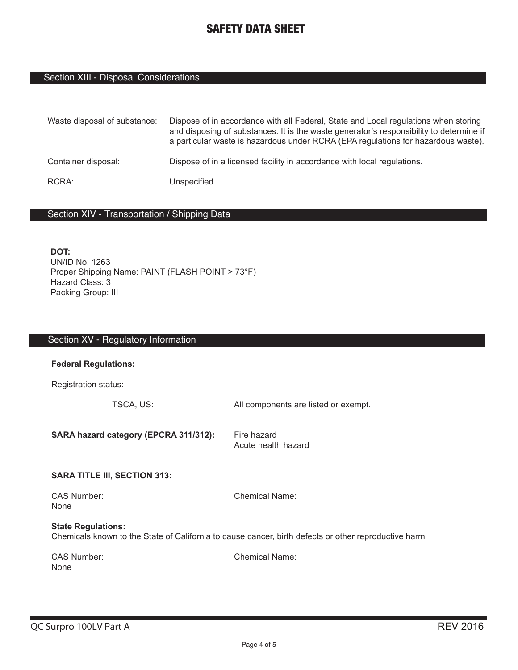# Section XIII - Disposal Considerations

| Waste disposal of substance: | Dispose of in accordance with all Federal, State and Local regulations when storing<br>and disposing of substances. It is the waste generator's responsibility to determine if<br>a particular waste is hazardous under RCRA (EPA regulations for hazardous waste). |
|------------------------------|---------------------------------------------------------------------------------------------------------------------------------------------------------------------------------------------------------------------------------------------------------------------|
| Container disposal:          | Dispose of in a licensed facility in accordance with local regulations.                                                                                                                                                                                             |
| RCRA:                        | Unspecified.                                                                                                                                                                                                                                                        |

## Section XIV - Transportation / Shipping Data

**DOT:** UN/ID No: 1263 Proper Shipping Name: PAINT (FLASH POINT > 73°F) Hazard Class: 3 Packing Group: III

| Section XV - Regulatory Information                                                                                               |                                      |  |
|-----------------------------------------------------------------------------------------------------------------------------------|--------------------------------------|--|
| <b>Federal Regulations:</b>                                                                                                       |                                      |  |
| Registration status:                                                                                                              |                                      |  |
| TSCA, US:                                                                                                                         | All components are listed or exempt. |  |
| SARA hazard category (EPCRA 311/312):                                                                                             | Fire hazard<br>Acute health hazard   |  |
| <b>SARA TITLE III, SECTION 313:</b>                                                                                               |                                      |  |
| <b>CAS Number:</b><br><b>None</b>                                                                                                 | <b>Chemical Name:</b>                |  |
| <b>State Regulations:</b><br>Chemicals known to the State of California to cause cancer, birth defects or other reproductive harm |                                      |  |
| <b>CAS Number:</b><br><b>None</b>                                                                                                 | <b>Chemical Name:</b>                |  |
|                                                                                                                                   |                                      |  |